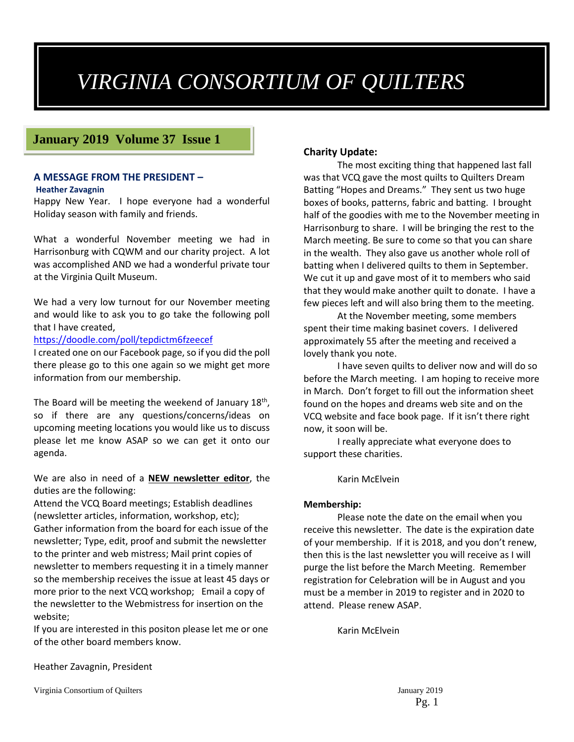# *VIRGINIA CONSORTIUM OF QUILTERS*

### **January 2019 Volume 37 Issue 1**

#### **A MESSAGE FROM THE PRESIDENT –**

#### **Heather Zavagnin**

Happy New Year. I hope everyone had a wonderful Holiday season with family and friends.

What a wonderful November meeting we had in Harrisonburg with CQWM and our charity project. A lot was accomplished AND we had a wonderful private tour at the Virginia Quilt Museum.

We had a very low turnout for our November meeting and would like to ask you to go take the following poll that I have created,

<https://doodle.com/poll/tepdictm6fzeecef>

I created one on our Facebook page, so if you did the poll there please go to this one again so we might get more information from our membership.

The Board will be meeting the weekend of January  $18<sup>th</sup>$ , so if there are any questions/concerns/ideas on upcoming meeting locations you would like us to discuss please let me know ASAP so we can get it onto our agenda.

#### We are also in need of a **NEW newsletter editor**, the duties are the following:

Attend the VCQ Board meetings; Establish deadlines (newsletter articles, information, workshop, etc); Gather information from the board for each issue of the newsletter; Type, edit, proof and submit the newsletter to the printer and web mistress; Mail print copies of newsletter to members requesting it in a timely manner so the membership receives the issue at least 45 days or more prior to the next VCQ workshop; Email a copy of the newsletter to the Webmistress for insertion on the website;

If you are interested in this positon please let me or one of the other board members know.

#### **Charity Update:**

The most exciting thing that happened last fall was that VCQ gave the most quilts to Quilters Dream Batting "Hopes and Dreams." They sent us two huge boxes of books, patterns, fabric and batting. I brought half of the goodies with me to the November meeting in Harrisonburg to share. I will be bringing the rest to the March meeting. Be sure to come so that you can share in the wealth. They also gave us another whole roll of batting when I delivered quilts to them in September. We cut it up and gave most of it to members who said that they would make another quilt to donate. I have a few pieces left and will also bring them to the meeting.

At the November meeting, some members spent their time making basinet covers. I delivered approximately 55 after the meeting and received a lovely thank you note.

I have seven quilts to deliver now and will do so before the March meeting. I am hoping to receive more in March. Don't forget to fill out the information sheet found on the hopes and dreams web site and on the VCQ website and face book page. If it isn't there right now, it soon will be.

I really appreciate what everyone does to support these charities.

#### Karin McElvein

#### **Membership:**

Please note the date on the email when you receive this newsletter. The date is the expiration date of your membership. If it is 2018, and you don't renew, then this is the last newsletter you will receive as I will purge the list before the March Meeting. Remember registration for Celebration will be in August and you must be a member in 2019 to register and in 2020 to attend. Please renew ASAP.

Karin McElvein

#### Heather Zavagnin, President

Virginia Consortium of Quilters January 2019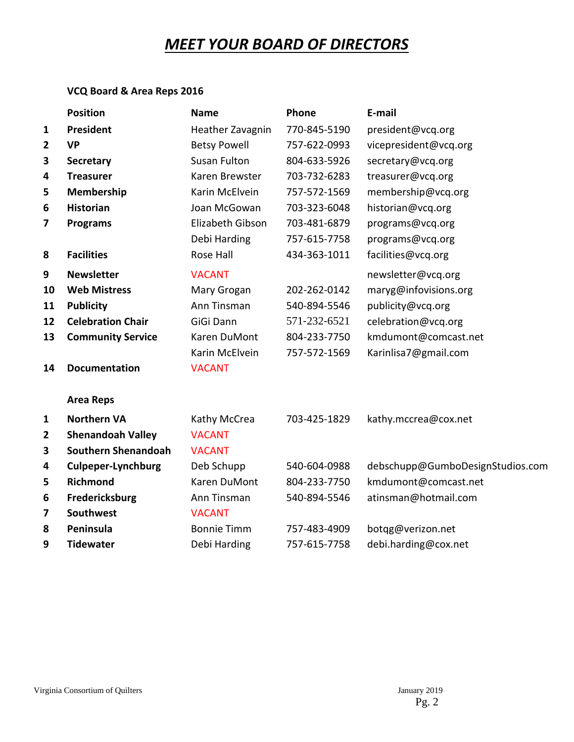# *MEET YOUR BOARD OF DIRECTORS*

### **VCQ Board & Area Reps 2016**

|                | <b>Position</b>            | <b>Name</b>         | Phone        | E-mail                           |
|----------------|----------------------------|---------------------|--------------|----------------------------------|
| 1              | President                  | Heather Zavagnin    | 770-845-5190 | president@vcq.org                |
| $\overline{2}$ | <b>VP</b>                  | <b>Betsy Powell</b> | 757-622-0993 | vicepresident@vcq.org            |
| 3              | <b>Secretary</b>           | <b>Susan Fulton</b> | 804-633-5926 | secretary@vcq.org                |
| 4              | <b>Treasurer</b>           | Karen Brewster      | 703-732-6283 | treasurer@vcq.org                |
| 5              | Membership                 | Karin McElvein      | 757-572-1569 | membership@vcq.org               |
| 6              | <b>Historian</b>           | Joan McGowan        | 703-323-6048 | historian@vcq.org                |
| 7              | <b>Programs</b>            | Elizabeth Gibson    | 703-481-6879 | programs@vcq.org                 |
|                |                            | Debi Harding        | 757-615-7758 | programs@vcq.org                 |
| 8              | <b>Facilities</b>          | Rose Hall           | 434-363-1011 | facilities@vcq.org               |
| 9              | <b>Newsletter</b>          | <b>VACANT</b>       |              | newsletter@vcq.org               |
| 10             | <b>Web Mistress</b>        | Mary Grogan         | 202-262-0142 | maryg@infovisions.org            |
| 11             | <b>Publicity</b>           | Ann Tinsman         | 540-894-5546 | publicity@vcq.org                |
| 12             | <b>Celebration Chair</b>   | GiGi Dann           | 571-232-6521 | celebration@vcq.org              |
| 13             | <b>Community Service</b>   | Karen DuMont        | 804-233-7750 | kmdumont@comcast.net             |
|                |                            | Karin McElvein      | 757-572-1569 | Karinlisa7@gmail.com             |
| 14             | <b>Documentation</b>       | <b>VACANT</b>       |              |                                  |
|                | <b>Area Reps</b>           |                     |              |                                  |
| $\mathbf{1}$   | <b>Northern VA</b>         | Kathy McCrea        | 703-425-1829 | kathy.mccrea@cox.net             |
| 2              | <b>Shenandoah Valley</b>   | <b>VACANT</b>       |              |                                  |
| 3              | <b>Southern Shenandoah</b> | <b>VACANT</b>       |              |                                  |
| 4              | <b>Culpeper-Lynchburg</b>  | Deb Schupp          | 540-604-0988 | debschupp@GumboDesignStudios.com |
| 5              | <b>Richmond</b>            | Karen DuMont        | 804-233-7750 | kmdumont@comcast.net             |
| 6              | Fredericksburg             | Ann Tinsman         | 540-894-5546 | atinsman@hotmail.com             |
| 7              | <b>Southwest</b>           | <b>VACANT</b>       |              |                                  |
| 8              | Peninsula                  | <b>Bonnie Timm</b>  | 757-483-4909 | botqg@verizon.net                |
| 9              | <b>Tidewater</b>           | Debi Harding        | 757-615-7758 | debi.harding@cox.net             |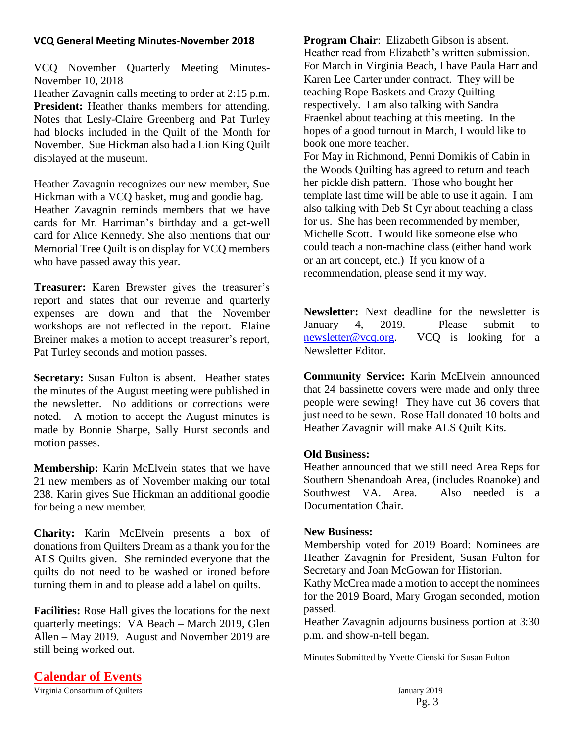#### **VCQ General Meeting Minutes-November 2018**

VCQ November Quarterly Meeting Minutes-November 10, 2018

Heather Zavagnin calls meeting to order at 2:15 p.m. **President:** Heather thanks members for attending. Notes that Lesly-Claire Greenberg and Pat Turley had blocks included in the Quilt of the Month for November. Sue Hickman also had a Lion King Quilt displayed at the museum.

Heather Zavagnin recognizes our new member, Sue Hickman with a VCQ basket, mug and goodie bag. Heather Zavagnin reminds members that we have cards for Mr. Harriman's birthday and a get-well card for Alice Kennedy. She also mentions that our Memorial Tree Quilt is on display for VCQ members who have passed away this year.

**Treasurer:** Karen Brewster gives the treasurer's report and states that our revenue and quarterly expenses are down and that the November workshops are not reflected in the report. Elaine Breiner makes a motion to accept treasurer's report, Pat Turley seconds and motion passes.

**Secretary:** Susan Fulton is absent. Heather states the minutes of the August meeting were published in the newsletter. No additions or corrections were noted. A motion to accept the August minutes is made by Bonnie Sharpe, Sally Hurst seconds and motion passes.

**Membership:** Karin McElvein states that we have 21 new members as of November making our total 238. Karin gives Sue Hickman an additional goodie for being a new member.

**Charity:** Karin McElvein presents a box of donations from Quilters Dream as a thank you for the ALS Quilts given. She reminded everyone that the quilts do not need to be washed or ironed before turning them in and to please add a label on quilts.

**Facilities:** Rose Hall gives the locations for the next quarterly meetings: VA Beach – March 2019, Glen Allen – May 2019. August and November 2019 are still being worked out.

**Program Chair**: Elizabeth Gibson is absent. Heather read from Elizabeth's written submission. For March in Virginia Beach, I have Paula Harr and Karen Lee Carter under contract. They will be teaching Rope Baskets and Crazy Quilting respectively. I am also talking with Sandra Fraenkel about teaching at this meeting. In the hopes of a good turnout in March, I would like to book one more teacher. For May in Richmond, Penni Domikis of Cabin in the Woods Quilting has agreed to return and teach her pickle dish pattern. Those who bought her template last time will be able to use it again. I am also talking with Deb St Cyr about teaching a class for us. She has been recommended by member, Michelle Scott. I would like someone else who could teach a non-machine class (either hand work or an art concept, etc.) If you know of a recommendation, please send it my way.

**Newsletter:** Next deadline for the newsletter is January 4, 2019. Please submit to **newsletter@vcq.org**. VCQ is looking for a VCQ is looking for a Newsletter Editor.

**Community Service:** Karin McElvein announced that 24 bassinette covers were made and only three people were sewing! They have cut 36 covers that just need to be sewn. Rose Hall donated 10 bolts and Heather Zavagnin will make ALS Quilt Kits.

#### **Old Business:**

Heather announced that we still need Area Reps for Southern Shenandoah Area, (includes Roanoke) and Southwest VA. Area. Also needed is a Documentation Chair.

#### **New Business:**

Membership voted for 2019 Board: Nominees are Heather Zavagnin for President, Susan Fulton for Secretary and Joan McGowan for Historian.

Kathy McCrea made a motion to accept the nominees for the 2019 Board, Mary Grogan seconded, motion passed.

Heather Zavagnin adjourns business portion at 3:30 p.m. and show-n-tell began.

Minutes Submitted by Yvette Cienski for Susan Fulton

Virginia Consortium of Quilters January 2019 **Calendar of Events**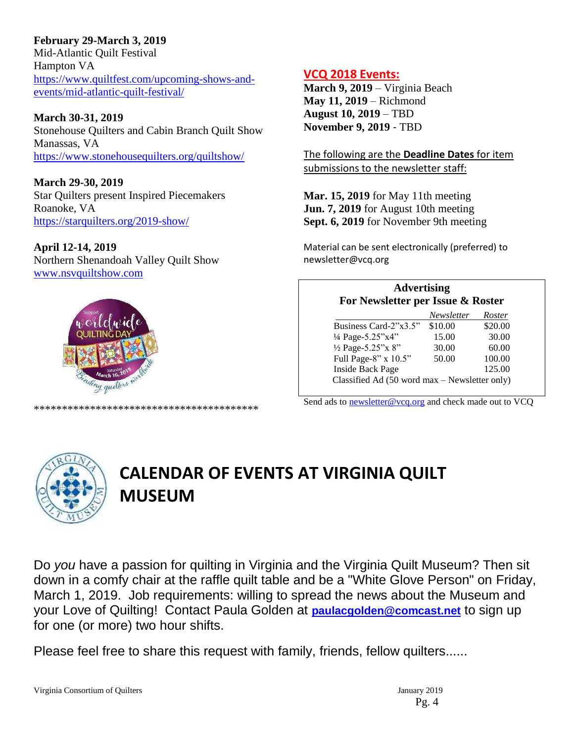**February 29-March 3, 2019**

Mid-Atlantic Quilt Festival Hampton VA [https://www.quiltfest.com/upcoming-shows-and](https://www.quiltfest.com/upcoming-shows-and-events/mid-atlantic-quilt-festival/)[events/mid-atlantic-quilt-festival/](https://www.quiltfest.com/upcoming-shows-and-events/mid-atlantic-quilt-festival/)

**March 30-31, 2019** Stonehouse Quilters and Cabin Branch Quilt Show Manassas, VA <https://www.stonehousequilters.org/quiltshow/>

**March 29-30, 2019** Star Quilters present Inspired Piecemakers Roanoke, VA <https://starquilters.org/2019-show/>

**April 12-14, 2019**  Northern Shenandoah Valley Quilt Show [www.nsvquiltshow.com](http://www.nsvquiltshow.com/)



\*\*\*\*\*\*\*\*\*\*\*\*\*\*\*\*\*\*\*\*\*\*\*\*\*\*\*\*\*\*\*\*\*\*\*\*\*\*\*\*

**VCQ 2018 Events:**

**March 9, 2019** – Virginia Beach **May 11, 2019** – Richmond **August 10, 2019** – TBD **November 9, 2019** ‐ TBD

The following are the **Deadline Dates** for item submissions to the newsletter staff:

**Mar. 15, 2019** for May 11th meeting **Jun. 7, 2019** for August 10th meeting **Sept. 6, 2019** for November 9th meeting

Material can be sent electronically (preferred) to newsletter@vcq.org

| <b>Advertising</b><br>For Newsletter per Issue & Roster |            |         |  |  |
|---------------------------------------------------------|------------|---------|--|--|
|                                                         | Newsletter | Roster  |  |  |
| Business Card-2"x3.5"                                   | \$10.00    | \$20.00 |  |  |
| 1/4 Page-5.25"x4"                                       | 15.00      | 30.00   |  |  |
| 1/2 Page-5.25"x 8"                                      | 30.00      | 60.00   |  |  |
| Full Page-8" x 10.5"                                    | 50.00      | 100.00  |  |  |
| <b>Inside Back Page</b>                                 |            | 125.00  |  |  |
| Classified Ad (50 word max - Newsletter only)           |            |         |  |  |

Send ads to **newsletter@vcq.org** and check made out to VCQ



# **CALENDAR OF EVENTS AT VIRGINIA QUILT MUSEUM**

Do *you* have a passion for quilting in Virginia and the Virginia Quilt Museum? Then sit down in a comfy chair at the raffle quilt table and be a "White Glove Person" on Friday, March 1, 2019. Job requirements: willing to spread the news about the Museum and your Love of Quilting! Contact Paula Golden at **[paulacgolden@comcast.net](mailto:paulacgolden@comcast.net)** to sign up for one (or more) two hour shifts.

Please feel free to share this request with family, friends, fellow quilters......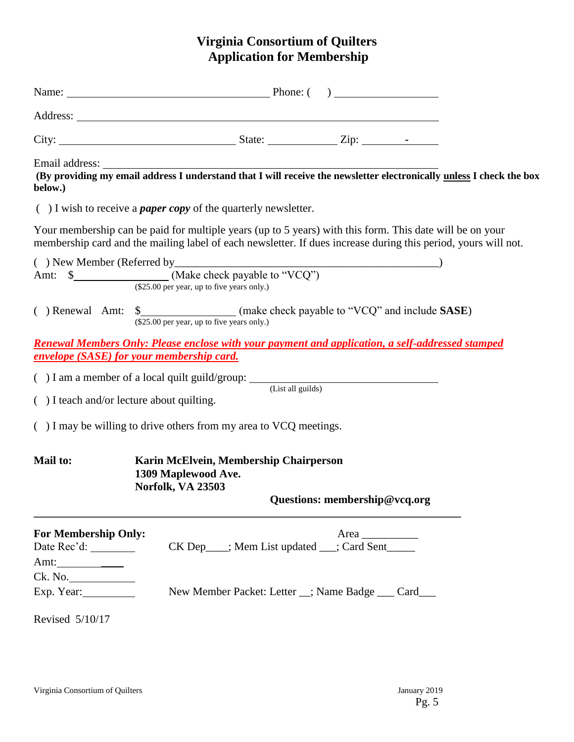## **Virginia Consortium of Quilters Application for Membership**

| Eman address.<br>(By providing my email address I understand that I will receive the newsletter electronically <u>unless</u> I check the box<br>below.)                                                                    |                                                                                                                                       |  |  |  |  |  |  |
|----------------------------------------------------------------------------------------------------------------------------------------------------------------------------------------------------------------------------|---------------------------------------------------------------------------------------------------------------------------------------|--|--|--|--|--|--|
|                                                                                                                                                                                                                            | $( )$ I wish to receive a <i>paper copy</i> of the quarterly newsletter.                                                              |  |  |  |  |  |  |
| Your membership can be paid for multiple years (up to 5 years) with this form. This date will be on your<br>membership card and the mailing label of each newsletter. If dues increase during this period, yours will not. |                                                                                                                                       |  |  |  |  |  |  |
| (\$25.00 per year, up to five years only.)                                                                                                                                                                                 |                                                                                                                                       |  |  |  |  |  |  |
|                                                                                                                                                                                                                            | () Renewal Amt: \$_______________________(make check payable to "VCQ" and include SASE)<br>(\$25.00 per year, up to five years only.) |  |  |  |  |  |  |
| <u><b>Renewal Members Only: Please enclose with your payment and application, a self-addressed stamped</b></u><br>envelope (SASE) for your membership card.                                                                |                                                                                                                                       |  |  |  |  |  |  |
|                                                                                                                                                                                                                            | $( ) I$ am a member of a local quilt guild/group: $($ List all guilds)                                                                |  |  |  |  |  |  |
| () I teach and/or lecture about quilting.                                                                                                                                                                                  |                                                                                                                                       |  |  |  |  |  |  |
| $($ ) I may be willing to drive others from my area to VCQ meetings.                                                                                                                                                       |                                                                                                                                       |  |  |  |  |  |  |
| <b>Mail to:</b><br>Karin McElvein, Membership Chairperson<br>1309 Maplewood Ave.<br>Norfolk, VA 23503<br>Questions: membership@vcq.org                                                                                     |                                                                                                                                       |  |  |  |  |  |  |
| <b>For Membership Only:</b>                                                                                                                                                                                                | Area                                                                                                                                  |  |  |  |  |  |  |
|                                                                                                                                                                                                                            | CK Dep___; Mem List updated __; Card Sent____                                                                                         |  |  |  |  |  |  |
| Amt: $\frac{1}{\sqrt{2\pi}}$                                                                                                                                                                                               |                                                                                                                                       |  |  |  |  |  |  |
| Ck. No.<br>Exp. Year:                                                                                                                                                                                                      | New Member Packet: Letter _; Name Badge __ Card__                                                                                     |  |  |  |  |  |  |
| Revised 5/10/17                                                                                                                                                                                                            |                                                                                                                                       |  |  |  |  |  |  |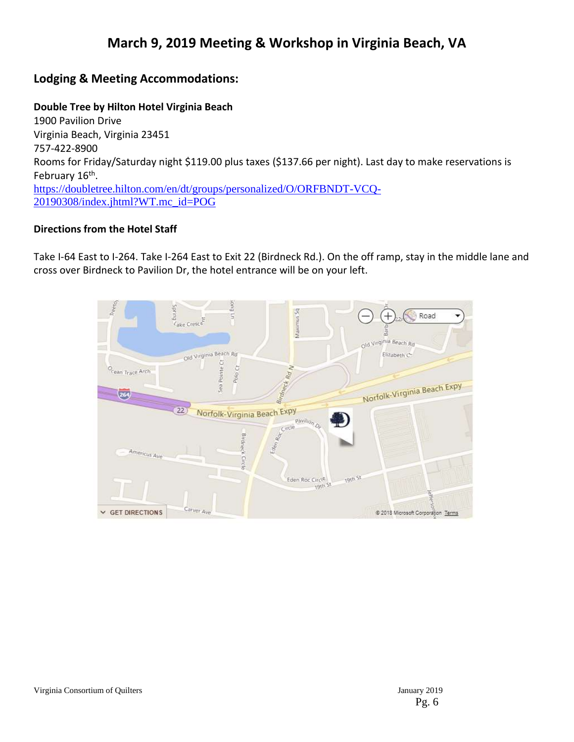## **March 9, 2019 Meeting & Workshop in Virginia Beach, VA**

## **Lodging & Meeting Accommodations:**

#### **Double Tree by Hilton Hotel Virginia Beach**

1900 Pavilion Drive Virginia Beach, Virginia 23451 757-422-8900 Rooms for Friday/Saturday night \$119.00 plus taxes (\$137.66 per night). Last day to make reservations is February 16<sup>th</sup>. [https://doubletree.hilton.com/en/dt/groups/personalized/O/ORFBNDT-VCQ-](https://doubletree.hilton.com/en/dt/groups/personalized/O/ORFBNDT-VCQ-20190308/index.jhtml?WT.mc_id=POG)[20190308/index.jhtml?WT.mc\\_id=POG](https://doubletree.hilton.com/en/dt/groups/personalized/O/ORFBNDT-VCQ-20190308/index.jhtml?WT.mc_id=POG)

#### **Directions from the Hotel Staff**

Take I-64 East to I-264. Take I-264 East to Exit 22 (Birdneck Rd.). On the off ramp, stay in the middle lane and cross over Birdneck to Pavilion Dr, the hotel entrance will be on your left.

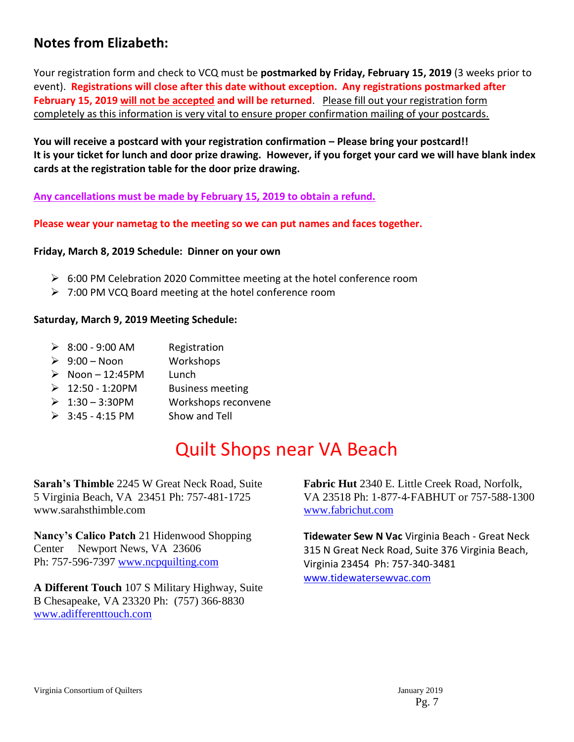## **Notes from Elizabeth:**

Your registration form and check to VCQ must be **postmarked by Friday, February 15, 2019** (3 weeks prior to event). **Registrations will close after this date without exception. Any registrations postmarked after February 15, 2019 will not be accepted and will be returned**. Please fill out your registration form completely as this information is very vital to ensure proper confirmation mailing of your postcards.

**You will receive a postcard with your registration confirmation – Please bring your postcard!! It is your ticket for lunch and door prize drawing. However, if you forget your card we will have blank index cards at the registration table for the door prize drawing.**

**Any cancellations must be made by February 15, 2019 to obtain a refund.**

**Please wear your nametag to the meeting so we can put names and faces together.**

#### **Friday, March 8, 2019 Schedule: Dinner on your own**

- $\triangleright$  6:00 PM Celebration 2020 Committee meeting at the hotel conference room
- $\geq$  7:00 PM VCQ Board meeting at the hotel conference room

#### **Saturday, March 9, 2019 Meeting Schedule:**

- $\geq 8:00 9:00$  AM Registration
- 9:00 Noon Workshops
- $\triangleright$  Noon 12:45PM Lunch
- $\geq 12:50 1:20$ PM Business meeting
- 1:30 3:30PM Workshops reconvene
- $\geq$  3:45 4:15 PM Show and Tell

# Quilt Shops near VA Beach

**Sarah's Thimble** 2245 W Great Neck Road, Suite 5 Virginia Beach, VA 23451 Ph: 757‐481‐1725 www.sarahsthimble.com

**Nancy's Calico Patch** 21 Hidenwood Shopping Center Newport News, VA 23606 Ph: 757‐596‐7397 [www.ncpquilting.com](http://www.ncpquilting.com/)

**A Different Touch** 107 S Military Highway, Suite B Chesapeake, VA 23320 Ph: (757) 366‐8830 [www.adifferenttouch.com](http://www.adifferenttouch.com/)

**Fabric Hut** 2340 E. Little Creek Road, Norfolk, VA 23518 Ph: 1‐877‐4‐FABHUT or 757‐588‐1300 [www.fabrichut.com](http://www.fabrichut.com/)

**Tidewater Sew N Vac** Virginia Beach - Great Neck 315 N Great Neck Road, Suite 376 Virginia Beach, Virginia 23454 Ph: 757-340-3481 [www.tidewatersewvac.com](http://www.tidewatersewvac.com/)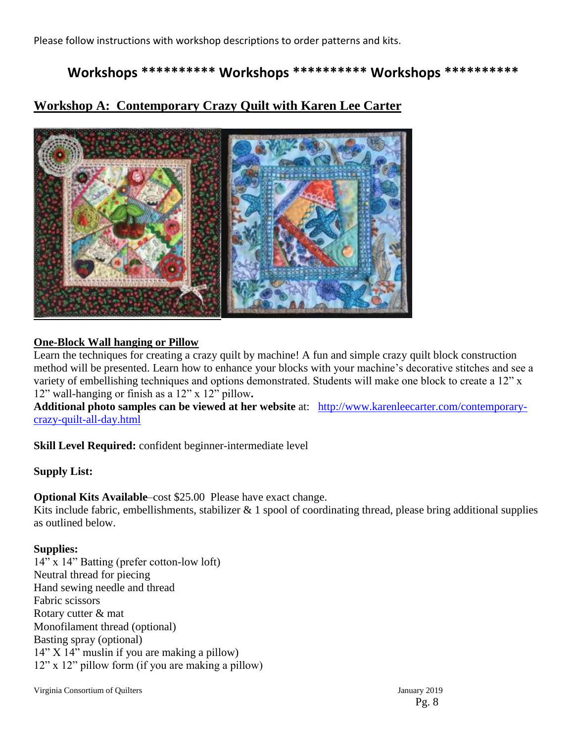Please follow instructions with workshop descriptions to order patterns and kits.

## **Workshops \*\*\*\*\*\*\*\*\*\* Workshops \*\*\*\*\*\*\*\*\*\* Workshops \*\*\*\*\*\*\*\*\*\***

## **Workshop A: Contemporary Crazy Quilt with Karen Lee Carter**



#### **One-Block Wall hanging or Pillow**

Learn the techniques for creating a crazy quilt by machine! A fun and simple crazy quilt block construction method will be presented. Learn how to enhance your blocks with your machine's decorative stitches and see a variety of embellishing techniques and options demonstrated. Students will make one block to create a 12" x 12" wall-hanging or finish as a 12" x 12" pillow**.** 

**Additional photo samples can be viewed at her website** at: [http://www.karenleecarter.com/contemporary](http://www.karenleecarter.com/contemporary-crazy-quilt-all-day.html)[crazy-quilt-all-day.html](http://www.karenleecarter.com/contemporary-crazy-quilt-all-day.html)

**Skill Level Required:** confident beginner-intermediate level

#### **Supply List:**

**Optional Kits Available**–cost \$25.00 Please have exact change.

Kits include fabric, embellishments, stabilizer  $& 1$  spool of coordinating thread, please bring additional supplies as outlined below.

#### **Supplies:**

14" x 14" Batting (prefer cotton-low loft) Neutral thread for piecing Hand sewing needle and thread Fabric scissors Rotary cutter & mat Monofilament thread (optional) Basting spray (optional) 14" X 14" muslin if you are making a pillow) 12" x 12" pillow form (if you are making a pillow)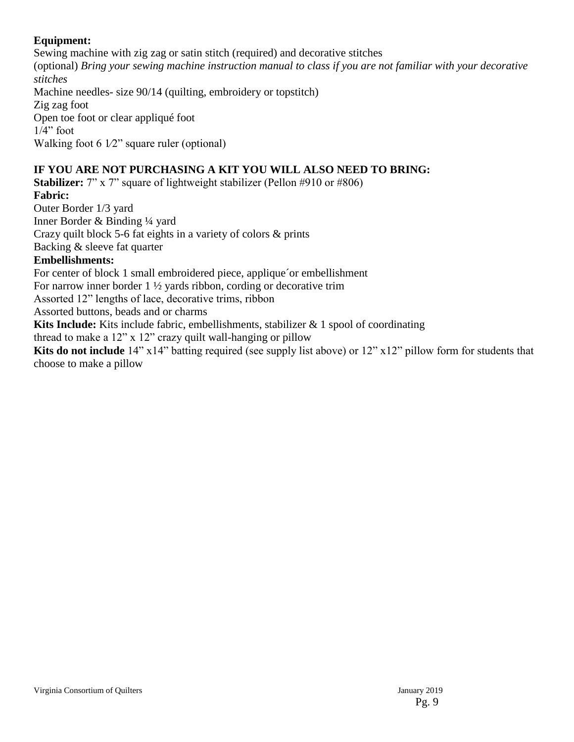### **Equipment:**

Sewing machine with zig zag or satin stitch (required) and decorative stitches (optional) *Bring your sewing machine instruction manual to class if you are not familiar with your decorative stitches* Machine needles- size 90/14 (quilting, embroidery or topstitch) Zig zag foot Open toe foot or clear appliqué foot  $1/4$ " foot Walking foot  $6\frac{1}{2}$ " square ruler (optional)

### **IF YOU ARE NOT PURCHASING A KIT YOU WILL ALSO NEED TO BRING:**

**Stabilizer:** 7" x 7" square of lightweight stabilizer (Pellon #910 or #806) **Fabric:**

Outer Border 1/3 yard Inner Border & Binding ¼ yard

Crazy quilt block 5-6 fat eights in a variety of colors & prints

Backing & sleeve fat quarter

### **Embellishments:**

For center of block 1 small embroidered piece, applique´or embellishment

For narrow inner border 1 ½ yards ribbon, cording or decorative trim

Assorted 12" lengths of lace, decorative trims, ribbon

Assorted buttons, beads and or charms

**Kits Include:** Kits include fabric, embellishments, stabilizer & 1 spool of coordinating

thread to make a 12" x 12" crazy quilt wall-hanging or pillow

**Kits do not include** 14" x14" batting required (see supply list above) or 12" x12" pillow form for students that choose to make a pillow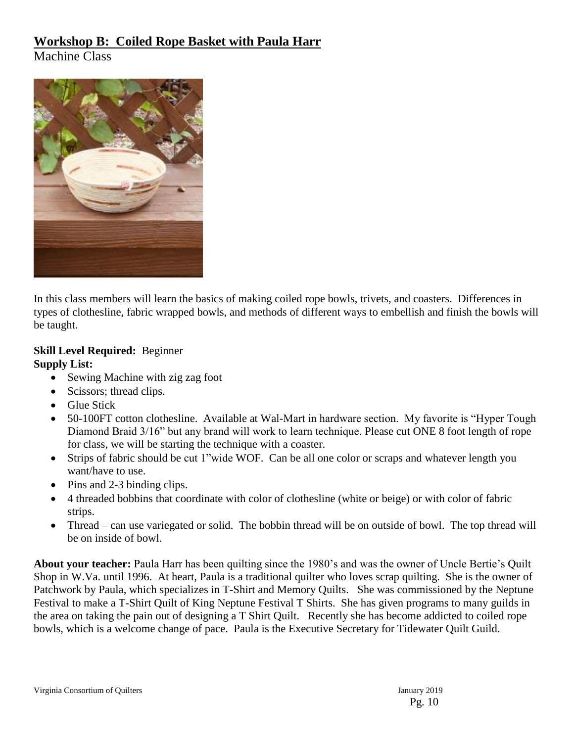## **Workshop B: Coiled Rope Basket with Paula Harr**

Machine Class



In this class members will learn the basics of making coiled rope bowls, trivets, and coasters. Differences in types of clothesline, fabric wrapped bowls, and methods of different ways to embellish and finish the bowls will be taught.

### **Skill Level Required:** Beginner **Supply List:**

- Sewing Machine with zig zag foot
- Scissors; thread clips.
- Glue Stick
- 50-100FT cotton clothesline. Available at Wal-Mart in hardware section. My favorite is "Hyper Tough Diamond Braid 3/16" but any brand will work to learn technique. Please cut ONE 8 foot length of rope for class, we will be starting the technique with a coaster.
- Strips of fabric should be cut 1"wide WOF. Can be all one color or scraps and whatever length you want/have to use.
- Pins and 2-3 binding clips.
- 4 threaded bobbins that coordinate with color of clothesline (white or beige) or with color of fabric strips.
- Thread can use variegated or solid. The bobbin thread will be on outside of bowl. The top thread will be on inside of bowl.

**About your teacher:** Paula Harr has been quilting since the 1980's and was the owner of Uncle Bertie's Quilt Shop in W.Va. until 1996. At heart, Paula is a traditional quilter who loves scrap quilting. She is the owner of Patchwork by Paula, which specializes in T-Shirt and Memory Quilts. She was commissioned by the Neptune Festival to make a T-Shirt Quilt of King Neptune Festival T Shirts. She has given programs to many guilds in the area on taking the pain out of designing a T Shirt Quilt. Recently she has become addicted to coiled rope bowls, which is a welcome change of pace. Paula is the Executive Secretary for Tidewater Quilt Guild.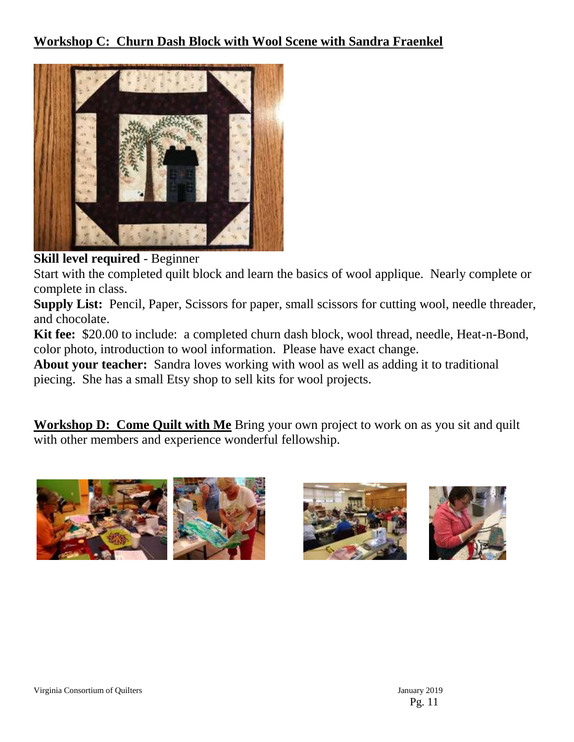

## **Skill level required** - Beginner

Start with the completed quilt block and learn the basics of wool applique. Nearly complete or complete in class.

**Supply List:** Pencil, Paper, Scissors for paper, small scissors for cutting wool, needle threader, and chocolate.

**Kit fee:** \$20.00 to include: a completed churn dash block, wool thread, needle, Heat-n-Bond, color photo, introduction to wool information. Please have exact change.

**About your teacher:** Sandra loves working with wool as well as adding it to traditional piecing. She has a small Etsy shop to sell kits for wool projects.

**Workshop D: Come Quilt with Me** Bring your own project to work on as you sit and quilt with other members and experience wonderful fellowship.







Virginia Consortium of Quilters January 2019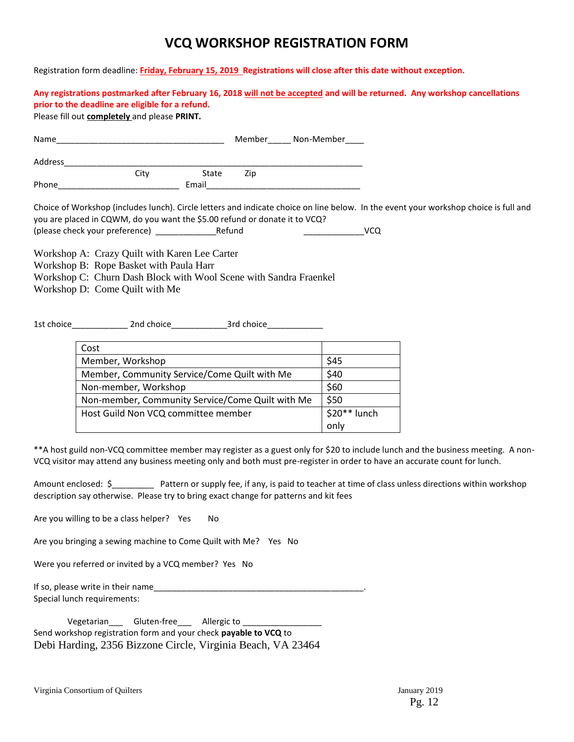## **VCQ WORKSHOP REGISTRATION FORM**

Registration form deadline: **Friday, February 15, 2019 Registrations will close after this date without exception.** 

**Any registrations postmarked after February 16, 2018 will not be accepted and will be returned. Any workshop cancellations prior to the deadline are eligible for a refund.** Please fill out **completely** and please **PRINT***.*  Name **Name Name Non-Member Non-Member** Address\_\_\_\_\_\_\_\_\_\_\_\_\_\_\_\_\_\_\_\_\_\_\_\_\_\_\_\_\_\_\_\_\_\_\_\_\_\_\_\_\_\_\_\_\_\_\_\_\_\_\_\_\_\_\_\_\_\_\_\_\_\_\_\_ State Zip Phone **Email** Choice of Workshop (includes lunch). Circle letters and indicate choice on line below. In the event your workshop choice is full and you are placed in CQWM, do you want the \$5.00 refund or donate it to VCQ? (please check your preference) \_\_\_\_\_\_\_\_\_\_\_\_\_Refund \_\_\_\_\_\_\_\_\_\_\_\_\_VCQ Workshop A: Crazy Quilt with Karen Lee Carter Workshop B: Rope Basket with Paula Harr Workshop C: Churn Dash Block with Wool Scene with Sandra Fraenkel Workshop D: Come Quilt with Me 1st choice\_\_\_\_\_\_\_\_\_\_\_\_ 2nd choice\_\_\_\_\_\_\_\_\_\_\_\_3rd choice\_\_\_\_\_\_\_\_\_\_\_\_

| Cost                                             |              |
|--------------------------------------------------|--------------|
| Member, Workshop                                 | \$45         |
| Member, Community Service/Come Quilt with Me     | \$40         |
| Non-member, Workshop                             | \$60         |
| Non-member, Community Service/Come Quilt with Me | \$50         |
| Host Guild Non VCQ committee member              | \$20** lunch |
|                                                  | only         |

\*\*A host guild non-VCQ committee member may register as a guest only for \$20 to include lunch and the business meeting. A non-VCQ visitor may attend any business meeting only and both must pre-register in order to have an accurate count for lunch.

Amount enclosed: \$ Pattern or supply fee, if any, is paid to teacher at time of class unless directions within workshop description say otherwise. Please try to bring exact change for patterns and kit fees

Are you willing to be a class helper? Yes No

Are you bringing a sewing machine to Come Quilt with Me? Yes No

Were you referred or invited by a VCQ member? Yes No

If so, please write in their name\_\_\_\_\_\_\_\_\_\_\_\_\_\_\_\_\_\_\_\_\_\_\_\_\_\_\_\_\_\_\_\_\_\_\_\_\_\_\_\_\_\_\_\_\_. Special lunch requirements:

Vegetarian\_\_\_\_\_\_ Gluten-free\_\_\_\_\_\_ Allergic to \_\_\_\_\_\_ Send workshop registration form and your check **payable to VCQ** to Debi Harding, 2356 Bizzone Circle, Virginia Beach, VA 23464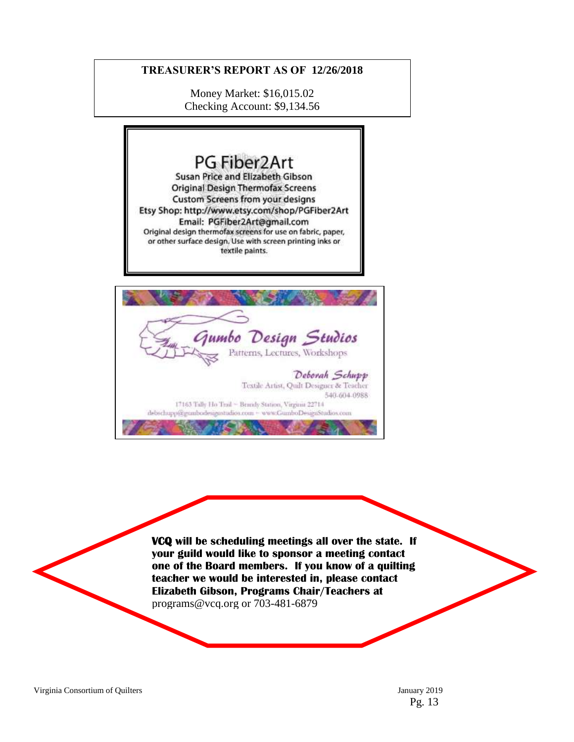#### **TREASURER'S REPORT AS OF 12/26/2018**

Money Market: \$16,015.02 Checking Account: \$9,134.56

## PG Fiber2Art Susan Price and Elizabeth Gibson **Original Design Thermofax Screens** Custom Screens from your designs Etsy Shop: http://www.etsy.com/shop/PGFiber2Art Email: PGFiber2Art@gmail.com Original design thermofax screens for use on fabric, paper, or other surface design. Use with screen printing inks or textile paints. Design Studios ımbo Patterns, Lectures, Workshops Deborah Schupp Textde Artist, Quilt Designer & Teacher 540-604-0988 17163 Tally Ho Troil ~ Brandy Station, Virginia 22714 debschupp@gumbodesignstudios.com ~ www.GumboDesignStudios.com

**VCQ will be scheduling meetings all over the state. If your guild would like to sponsor a meeting contact one of the Board members. If you know of a quilting teacher we would be interested in, please contact Elizabeth Gibson, Programs Chair/Teachers at**  programs@vcq.org or 703-481-6879

Virginia Consortium of Quilters January 2019